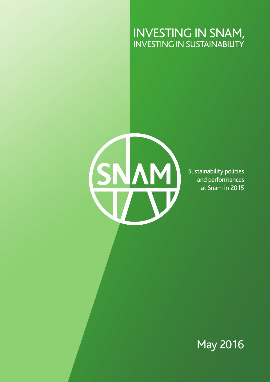### INVESTING IN SNAM, INVESTING IN SUSTAINABILITY

SNAM

Sustainability policies and performances at Snam in 2015

May 2016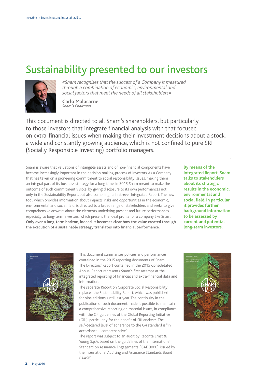### Sustainability presented to our investors



*«Snam recognises that the success of a Company is measured through a combination of economic, environmental and social factors that meet the needs of all stakeholders»*

**Carlo Malacarne** *Snam's Chairman* 

This document is directed to all Snam's shareholders, but particularly to those investors that integrate financial analysis with that focused on extra-financial issues when making their investment decisions about a stock: a wide and constantly growing audience, which is not confined to pure SRI (Socially Responsible Investing) portfolio managers.

Snam is aware that valuations of intangible assets and of non-financial components have become increasingly important in the decision making-process of investors. As a Company that has taken on a pioneering commitment to social responsibility issues, making them an integral part of its business strategy for a long time, in 2015 Snam meant to make the outcome of such commitment visible, by giving disclosure to its own performances not only in the Sustainability Report, but also compiling its first-ever Integrated Report. The new tool, which provides information about impacts, risks and opportunities in the economic, environmental and social field, is directed to a broad range of stakeholders and seeks to give comprehensive answers about the elements underlying present and future performances, especially to long-term investors, which present the ideal profile for a company like Snam. **Only over a long-term horizon, indeed, it becomes clear how the value created through**  the execution of a sustainable strategy translates into financial performance.

**By means of the Integrated Report, Snam talks to stakeholders about its strategic results in the economic, environmental and**  social field. In particular, **it provides further background information to be assessed by current and potential long-term investors.**



This document summarises policies and performances contained in the 2015 reporting documents of Snam. The Directors' Report contained in the 2015 Consolidated Annual Report represents Snam's first attempt at the integrated reporting of financial and extra-financial data and information.

The separate Report on Corporate Social Responsibility replaces the Sustainability Report, which was published for nine editions, until last year. The continuity in the publication of such document made it possible to maintain a comprehensive reporting on material issues, in compliance with the G4 guidelines of the Global Reporting Initiative (GRI), particularly for the benefit of SRI analysts. The self-declared level of adherence to the G4 standard is "in accordance – comprehensive".

The report was subject to an audit by Reconta Ernst & Young S.p.A. based on the guidelines of the International Standard on Assurance Engagements (ISAE 3000), issued by the International Auditing and Assurance Standards Board (IAASB).

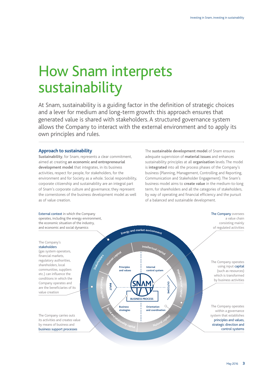# How Snam interprets sustainability

At Snam, sustainability is a guiding factor in the definition of strategic choices and a lever for medium and long-term growth: this approach ensures that generated value is shared with stakeholders. A structured governance system allows the Company to interact with the external environment and to apply its own principles and rules.

#### **Approach to sustainability**

**Sustainability**, for Snam, represents a clear commitment, aimed at creating **an economic and entrepreneurial development model** that integrates, in its business activities, respect for people, for stakeholders, for the environment and for Society as a whole. Social responsibility, corporate citizenship and sustainability are an integral part of Snam's corporate culture and governance; they represent the cornerstones of the business development model as well as of value creation.

The **sustainable development model** of Snam ensures adequate supervision of **material issues** and enhances sustainability principles at all **organisation** levels. The model is **integrated** into all the process phases of the Company's business (Planning, Management, Controlling and Reporting, Communication and Stakeholder Engagement). The Snam's business model aims to **create value** in the medium-to-long term, for shareholders and all the categories of stakeholders, by way of operating and financial efficiency and the pursuit of a balanced and sustainable development.

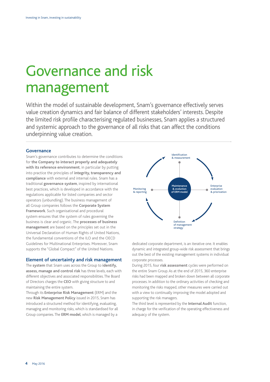### Governance and risk management

Within the model of sustainable development, Snam's governance effectively serves value creation dynamics and fair balance of different stakeholders' interests. Despite the limited risk profile characterising regulated businesses, Snam applies a structured and systemic approach to the governance of all risks that can affect the conditions underpinning value creation.

#### **Governance**

Snam's governance contributes to determine the conditions for **the Company to interact properly and adequately with its reference environment**, in particular by putting into practice the principles of **integrity, transparency and compliance** with external and internal rules. Snam has a traditional **governance system**, inspired by international best practices, which is developed in accordance with the regulations applicable for listed companies and sector operators (unbundling). The business management of all Group companies follows the **Corporate System Framework**. Such organisational and procedural system ensures that the system of rules governing the business is clear and organic. The **processes of business management** are based on the principles set out in the Universal Declaration of Human Rights of United Nations, the fundamental conventions of the ILO and the OECD Guidelines for Multinational Enterprises. Moreover, Snam supports the "Global Compact" of the United Nations.

#### **Element of uncertainty and risk management**

The **system** that Snam uses across the Group to **identify, assess, manage and control risk** has three levels, each with different objectives and associated responsibilities. The Board of Directors charges the **CEO** with giving structure to and maintaining the entire system.

Through its **Enterprise Risk Management** (ERM) and the new **Risk Management Policy** issued in 2015, Snam has introduced a structured method for identifying, evaluating, managing and monitoring risks, which is standardised for all Group companies. The **ERM model**, which is managed by a



dedicated corporate department, is an iterative one. It enables dynamic and integrated group-wide risk assessment that brings out the best of the existing management systems in individual corporate processes.

During 2015, four **risk assessment** cycles were performed on the entire Snam Group. As at the end of 2015, 360 enterprise risks had been mapped and broken down between all corporate processes. In addition to the ordinary activities of checking and monitoring the risks mapped, other measures were carried out with a view to continually improving the model adopted and supporting the risk managers. **Ih**<br>**Iat**<br>**Iand** iasure:

The third level is represented by the **Internal Audit** function, in charge for the verification of the operating effectiveness and adequacy of the system.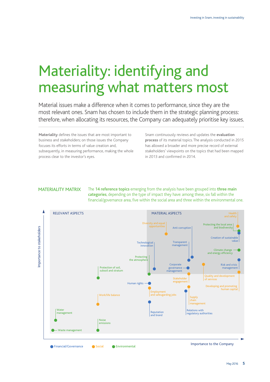### Materiality: identifying and measuring what matters most

Material issues make a difference when it comes to performance, since they are the most relevant ones. Snam has chosen to include them in the strategic planning process: therefore, when allocating its resources, the Company can adequately prioritise key issues.

**Materiality** defines the issues that are most important to business and stakeholders; on those issues the Company focuses its efforts in terms of value creation and, subsequently, in measuring performance, making the whole process clear to the investor's eyes.

Snam continuously reviews and updates the **evaluation process** of its material topics. The analysis conducted in 2015 has allowed a broader and more precise record of external stakeholders' viewpoints on the topics that had been mapped in 2013 and confirmed in 2014.

MATERIALITY MATRIX The **14 reference topics** emerging from the analysis have been grouped into **three main categories**, depending on the type of impact they have: among these, six fall within the financial/governance area, five within the social area and three within the environmental one.

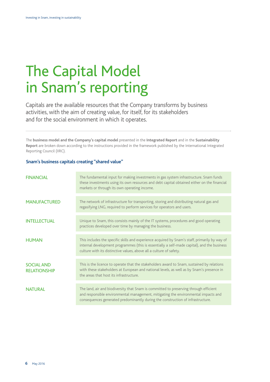# The Capital Model in Snam's reporting

Capitals are the available resources that the Company transforms by business activities, with the aim of creating value, for itself, for its stakeholders and for the social environment in which it operates.

The **business model and the Company's capital model** presented in the **Integrated Report** and in the **Sustainability Report** are broken down according to the instructions provided in the framework published by the International Integrated Reporting Council (IIRC).

#### **Snam's business capitals creating "shared value"**

| <b>FINANCIAL</b>                         | The fundamental input for making investments in gas system infrastructure. Snam funds<br>these investments using its own resources and debt capital obtained either on the financial<br>markets or through its own operating income.                                 |
|------------------------------------------|----------------------------------------------------------------------------------------------------------------------------------------------------------------------------------------------------------------------------------------------------------------------|
| <b>MANUFACTURED</b>                      | The network of infrastructure for transporting, storing and distributing natural gas and<br>regasifying LNG, required to perform services for operators and users.                                                                                                   |
| <b>INTELLECTUAL</b>                      | Unique to Snam, this consists mainly of the IT systems, procedures and good operating<br>practices developed over time by managing the business.                                                                                                                     |
| <b>HUMAN</b>                             | This includes the specific skills and experience acquired by Snam's staff, primarily by way of<br>internal development programmes (this is essentially a self-made capital), and the business<br>culture with its distinctive values, above all a culture of safety. |
| <b>SOCIAL AND</b><br><b>RELATIONSHIP</b> | This is the licence to operate that the stakeholders award to Snam, sustained by relations<br>with these stakeholders at European and national levels, as well as by Snam's presence in<br>the areas that host its infrastructure.                                   |
| <b>NATURAL</b>                           | The land, air and biodiversity that Snam is committed to preserving through efficient<br>and responsible environmental management, mitigating the environmental impacts and<br>consequences generated predominantly during the construction of infrastructure.       |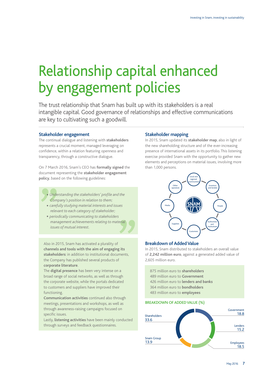## Relationship capital enhanced by engagement policies

The trust relationship that Snam has built up with its stakeholders is a real intangible capital. Good governance of relationships and effective communications are key to cultivating such a goodwill.

#### **Stakeholder engagement**

The continual dialogue and listening with **stakeholders** represents a crucial moment, managed leveraging on confidence, within a relation featuring openness and transparency, through a constructive dialogue.

On 7 March 2016, Snam's CEO has **formally signed** the document representing the **stakeholder engagement policy**, based on the following guidelines:

- *Understanding the stakeholders' profile and the Company's position in relation to them;*
- *• carefully studying material interests and issues relevant to each category of stakeholder;*
- *• periodically communicating to stakeholders management achievements relating to material issues of mutual interest.*

Also in 2015, Snam has activated a plurality of **channels and tools with the aim of engaging its stakeholders**: in addition to institutional documents, the Company has published several products of **corporate literature**.

The **digital presence** has been very intense on a broad range of social networks, as well as through the corporate website, while the portals dedicated to customers and suppliers have improved their functioning.

**Communication activities** continued also through meetings, presentations and workshops, as well as through awareness-raising campaigns focused on specific issues.

Lastly, **listening activities** have been mainly conducted through surveys and feedback questionnaires.

#### **Stakeholder mapping**

In 2015, Snam updated its **stakeholder map**, also in light of the new shareholding structure and of the ever-increasing presence of international assets in its portfolio. This listening exercise provided Snam with the opportunity to gather new elements and perceptions on material issues, involving more than 1,000 persons.



#### **Breakdown of Added Value**

In 2015, Snam distributed to stakeholders an overall value of **2,242 million euro**, against a generated added value of 2,605 million euro.

875 million euro to **shareholders** 489 million euro to **Government** 426 million euro to **lenders and banks** 364 million euro to **bondholders** 483 million euro to **employees**

#### BREAKDOWN OF ADDED VALUE (%)

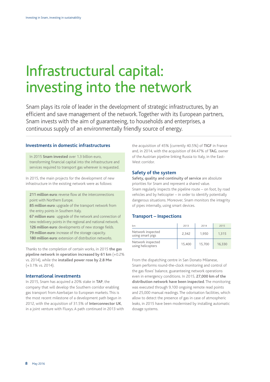### Infrastructural capital: investing into the network

Snam plays its role of leader in the development of strategic infrastructures, by an efficient and save management of the network. Together with its European partners, Snam invests with the aim of guaranteeing, to households and enterprises, a continuous supply of an environmentally friendly source of energy.

#### **Investments in domestic infrastructures**

In 2015 **Snam invested** over 1.3 billion euro, transforming financial capital into the infrastructure and services required to transport gas wherever is requested.

In 2015, the main projects for the development of new infrastructure in the existing network were as follows:

**211 million euro**: reverse flow at the interconnections point with Northern Europe.

**85 million euro**: upgrade of the transport network from the entry points in Southern Italy.

**67 million euro**: upgrade of the network and connection of new redelivery points in the regional and national network. **126 million euro**: developments of new storage fields. **79 million euro**: increase of the storage capacity.

**180 million euro**: extension of distribution networks.

Thanks to the completion of certain works, in 2015 **the gas pipeline network in operation increased by 61 km** (+0.2% vs. 2014), while the **installed power rose by 2.8 Mw** (+3.1% vs. 2014).

#### **International investments**

In 2015, Snam has acquired a 20% stake in **TAP**, the company that will develop the Southern corridor enabling gas transport from Azerbaijan to European markets. This is the most recent milestone of a development path begun in 2012, with the acquisition of 31.5% of **Interconnector UK**, in a joint venture with Fluxys. A path continued in 2013 with the acquisition of 45% (currently 40.5%) of **TIGF** in France and, in 2014, with the acquisition of 84.47% of **TAG**, owner of the Austrian pipeline linking Russia to Italy, in the East-West corridor.

#### **Safety of the system**

**Safety, quality and continuity of service** are absolute priorities for Snam and represent a shared value. Snam regularly inspects the pipeline route – on foot, by road vehicles and by helicopter – in order to identify potentially dangerous situations. Moreover, Snam monitors the integrity of pipes internally, using smart devices.

#### **Transport – Inspections**

| km                                     | 2013   | 2014   | 2015   |
|----------------------------------------|--------|--------|--------|
| Network inspected<br>using smart pigs  | 2.342  | 1.950  | 1.315  |
| Network inspected<br>using helicopters | 15.400 | 15.700 | 16.330 |

From the dispatching centre in San Donato Milanese, Snam performs round-the-clock monitoring and control of the gas flows' balance, guaranteeing network operations even in emergency conditions. In 2015, **27,000 km of the distribution network have been inspected**. The monitoring was executed through 9,100 ongoing remote read points and 25,000 manual readings. The odorisation facilities, which allow to detect the presence of gas in case of atmospheric leaks, in 2015 have been modernised by installing automatic dosage systems.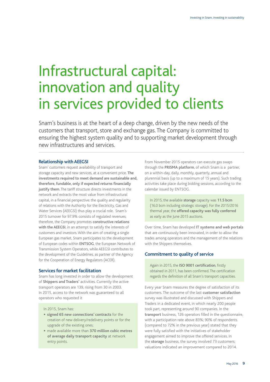### Infrastructural capital: innovation and quality in services provided to clients

Snam's business is at the heart of a deep change, driven by the new needs of the customers that transport, store and exchange gas. The Company is committed to ensuring the highest system quality and to supporting market development through new infrastructures and services.

#### **Relationship with AEEGSI**

Snam' customers request availability of transport and storage capacity and new services, at a convenient price. **The investments required to meet demand are sustainable and, therefore, fundable, only if expected returns financially justify them**. The tariff structure directs investments in the network and extracts the most value from infrastructural capital, in a financial perspective: the quality and regularity of relations with the Authority for the Electricity, Gas and Water Services (AEEGSI) thus play a crucial role. Snam's 2015 turnover for 97.9% consists of regulated revenues; therefore, the Company promotes **constructive relations with the AEEGSI**, in an attempt to satisfy the interests of customers and investors. With the aim of creating a single European gas market, Snam participates to the development of European codes within **ENTSOG**, the European Network of Transmission System Operators, while AEEGSI contributes to the development of the Guidelines, as partner of the Agency for the Cooperation of Energy Regulators (ACER).

#### **Services for market facilitation**

Snam has long invested in order to allow the development of **Shippers and Traders'** activities. Currently the active transport operators are 139, rising from 30 in 2003. In 2015, access to the network was guaranteed to all operators who requested it

In 2015, Snam has:

- **signed 65 new connections' contracts** for the creation of new delivery/redelivery points or for the upgrade of the existing ones;
- made available more than **370 million cubic metres of average daily transport capacity** at network entry points.

From November 2015 operators can execute gas swaps through the **PRISMA platform**, of which Snam is a partner, on a within-day, daily, monthly, quarterly, annual and plurennial basis (up to a maximum of 15 years). Such trading activities take place during bidding sessions, according to the calendar issued by ENTSOG.

In 2015, the available **storage** capacity was **11.5 bcm**  (16.0 bcm including strategic storage). For the 2015/2016 thermal year, the **offered capacity was fully conferred** as early as the June 2015 auctions.

Over time, Snam has developed **IT systems and web portals** that are continuously been innovated, in order to allow the trades among operators and the management of the relations with the Shippers themselves.

#### **Commitment to quality of service**

Again in 2015, the **ISO 9001 certification**, firstly obtained in 2011, has been confirmed. The certification regards the definition of all Snam's transport capacities.

Every year Snam measures the degree of satisfaction of its customers. The outcome of the last **customer satisfaction** survey was illustrated and discussed with Shippers and Traders in a dedicated event, in which nearly 200 people took part, representing around 90 companies. In the **transport** business, 126 operators filled in the questionnaire, with a participation rate above 83%; 90% of respondents (compared to 72% in the previous year) stated that they were fully satisfied with the initiatives of stakeholder engagement aimed to improve the offered services. In the **storage** business, the survey involved 73 customers; valuations indicated an improvement compared to 2014.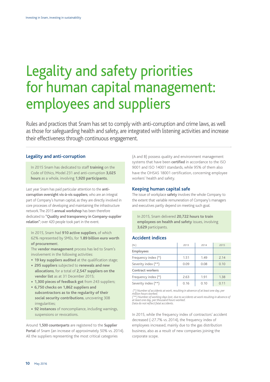### Legality and safety priorities for human capital management: employees and suppliers

Rules and practices that Snam has set to comply with anti-corruption and crime laws, as well as those for safeguarding health and safety, are integrated with listening activities and increase their effectiveness through continuous engagement.

#### **Legality and anti-corruption**

In 2015 Snam has dedicated to staff **training** on the Code of Ethics, Model 231 and anti-corruption **3,025 hours** as a whole, involving **1,920 participants.**

Last year Snam has paid particular attention to the **anticorruption oversight vis-à-vis suppliers**, who are an integral part of Company's human capital, as they are directly involved in core processes of developing and maintaining the infrastructure network. The 2015 **annual workshop** has been therefore dedicated to **"Quality and transparency in Company-supplier relation"**; over 420 people took part in the event.

In 2015, Snam had **910 active suppliers**, of which 62% represented by SMEs, for **1.89 billion euro worth of procuremen**t.

The **vendor management** process has led to Snam's involvement in the following activities:

- **19 key suppliers audited** at the qualification stage;
- **295 suppliers** subjected to **renewals and new allocations**, for a total of **2,547 suppliers on the vendor list** as at 31 December 2015;
- **1,300 pieces of feedback got** from 243 suppliers;
- **6,750 checks on 1,862 suppliers and subcontractors as to the regularity of their social security contributions**, uncovering 308 irregularities;
- **92 instances** of noncompliance, including warnings, suspensions or revocations.

Around **1,500 counterparts** are registered to the **Supplier Portal** of Snam (an increase of approximately 50% vs. 2014). All the suppliers representing the most critical categories

(A and B) possess quality and environment management systems that have been **certified** in accordance to the ISO 9001 and ISO 14001 standards, while 95% of them also have the OHSAS 18001 certification, concerning employee workers' health and safety.

#### **Keeping human capital safe**

The issue of workplace **safety** involves the whole Company to the extent that variable remuneration of Company's managers and executives partly depend on meeting such goal.

In 2015, Snam delivered **20,722 hours to train employees on health and safety** issues, involving **3,629** participants.

#### **Accident indices**

| (N.)                | 2013 | 2014 | 2015 |
|---------------------|------|------|------|
| Employees           |      |      |      |
| Frequency index (*) | 1.51 | 1.49 | 2.14 |
| Severity index (**) | 0.09 | 0.08 | 0.10 |
| Contract workers    |      |      |      |
| Frequency index (*) | 2.63 | 1.91 | 1.38 |
| Severity index (**) | 0.16 | 0.10 | 0.11 |

 *(\*) Number of accidents at work, resulting in absence of at least one day, per million hours worked. (\*\*) Number of working days lost, due to accidents at work resulting in absence of* 

*at least one day, per thousand hours worked. Data do not reflect fatal accidents.*

In 2015, while the frequency index of contractors' accident decreased (-27.7% vs. 2014), the frequency index of employees increased, mainly due to the gas distribution business, also as a result of new companies joining the corporate scope.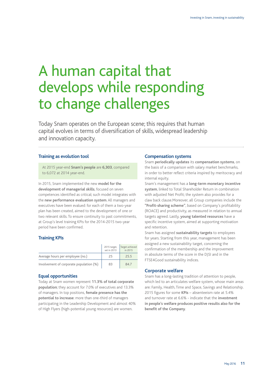# A human capital that develops while responding to change challenges

Today Snam operates on the European scene; this requires that human capital evolves in terms of diversification of skills, widespread leadership and innovation capacity.

#### **Training as evolution tool**

At 2015 year-end **Snam's people** are **6,303**, compared to 6,072 at 2014 year-end.

In 2015, Snam implemented the new **model for the development of managerial skills**, focused on seven competences identified as critical; such model integrates with the **new performance evaluation system**. All managers and executives have been evalued: for each of them a two-year plan has been created, aimed to the development of one or two relevant skills. To ensure continuity to past commitments, at Group's level training KPIs for the 2014-2015 two-year period have been confirmed.

#### **Training KPIs**

|                                         | 2015 target,<br>set in 2013 | Target achieved<br>in 2015 |
|-----------------------------------------|-----------------------------|----------------------------|
| Average hours per employee (no.)        | 25                          | 25.5                       |
| Involvement of corporate population (%) | 83                          | 84.7                       |

#### **Equal opportunities**

Today at Snam women represent **11.3% of total corporate population**; they account for 7.0% of executives and 13.3% of managers. In top positions, **female presence has the potential to increase**: more than one-third of managers participating in the Leadership Development and almost 40% of High Flyers (high-potential young resources) are women.

#### **Compensation systems**

Snam **periodically updates** its **compensation systems**, on the basis of a comparison with salary market benchmarks, in order to better reflect criteria inspired by meritocracy and internal equity.

Snam's management has a **long-term monetary incentive system**, linked to Total Shareholder Return in combination with adjusted Net Profit; the system also provides for a claw back clause.Moreover, all Group companies include the **"Profit-sharing scheme"**, based on Company's profitability (ROACE) and productivity, as measured in relation to annual targets agreed. Lastly, **young talented resources** have a specific incentive system, aimed at supporting motivation and retention.

Snam has assigned **sustainability targets** to employees for years. Starting from this year, management has been assigned a new sustainability target, concerning the confirmation of the membership and the improvement in absolute terms of the score in the DJSI and in the FTSE4Good sustainability indices.

#### **Corporate welfare**

Snam has a long-lasting tradition of attention to people, which led to an articulates welfare system, whose main areas are: Family, Health, Time and Space, Savings and Relationship. 2015 figures for some **KPIs** – absenteeism rate at 5.4% and turnover rate at 6.6% - indicate that the **investment in people's welfare produces positive results also for the benefit of the Company**.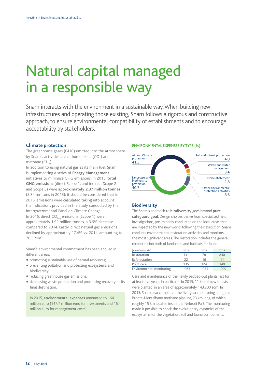### Natural capital managed in a responsible way

Snam interacts with the environment in a sustainable way. When building new infrastructures and operating those existing, Snam follows a rigorous and constructive approach, to ensure environmental compatibility of establishments and to encourage acceptability by stakeholders.

#### **Climate protection**

The greenhouse gases (GHG) emitted into the atmosphere by Snam's activities are carbon dioxide  $({\sf CO}_{_2})$  and methane (CH<sub>4</sub>).

In addition to using natural gas as its main fuel, Snam is implementing a series of **Energy Management** initiatives to minimise GHG emissions. In 2015, **total GHG emissions** (direct Scope 1, and indirect Scope 2 and Scope 3) were **approximately 2.37 million tonnes** (2.34 mn tons in 2013); it should be considered that in 2015, emissions were calculated taking into account the indications provided in the study conducted by the Intergovernmental Panel on Climate Change. In 2015, direct  $CO<sub>2eq</sub>$  emissions (Scope 1) were approximately 1.91 million tonnes, a 3.6% decrease compared to 2014. Lastly, direct natural gas emissions declined by approximately 17.4% vs. 2014, amounting to 78.5 Mm3 .

Snam's environmental commitment has been applied in different areas:

- **•** promoting sustainable use of natural resources;
- **•** preventing pollution and protecting ecosystems and biodiversity;
- **•** reducing greenhouse gas emissions;
- **•** decreasing waste production and promoting recovery at its final destination.

In 2015, **environmental expenses** amounted to 164 million euro (147.7 million euro for investments and 16.4 million euro for management costs).

#### ENVIRONMENTAL EXPENSES BY TYPE (%)



#### **Biodiversity**

The Snam's approach to **biodiversity** goes beyond **pure safeguard goal**. Design choices derive from specialised field investigations, preliminarily conducted on the local areas that are impacted by the new works; following their execution, Snam conducts environmental restoration activities and monitors the most significant areas. The restoration includes the general reconstitution both of landscape and habitats for fauna.

| (Km of networks)         | 2013  | 2014  | 2015  |
|--------------------------|-------|-------|-------|
| Restoration              | 131   | 78    | 240   |
| Reforestation            | 22    | 16    |       |
| Plant care               | 135   | 124   | 140   |
| Environmental monitoring | 1.063 | 1,055 | 1.009 |

Care and maintenance of the newly bedded-out plants last for at least five years. In particular, in 2015, 11 km of new forests were planted, in an area of approximately 143,700 sqm. In 2015, Snam also completed the five-year monitoring along the Bronte-Montalbano methane pipeline, 23 km long, of which roughly 15 km located inside the Nebrodi Park. The monitoring made it possible to check the evolutionary dynamics of the ecosystems for the vegetation, soil and fauna components.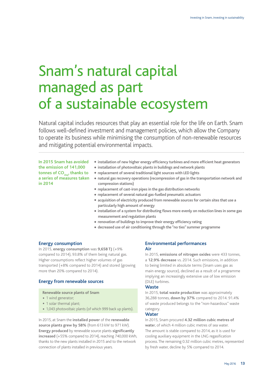### Snam's natural capital managed as part of a sustainable ecosystem

Natural capital includes resources that play an essential role for the life on Earth. Snam follows well-defined investment and management policies, which allow the Company to operate its business while minimising the consumption of non-renewable resources and mitigating potential environmental impacts.

**In 2015 Snam has avoided the emission of 141,000**  tonnes of CO<sub>2eq</sub>, thanks to **a series of measures taken in 2014**

- **• installation of new higher energy efficiency turbines and more efficient heat generators**
- **• installation of photovoltaic plants in buildings and network plants**
- **• replacement of several traditional light sources with LED lights**
- **• natural gas recovery operations (recompression of gas in the transportation network and compression stations)**
- **• replacement of cast-iron pipes in the gas distribution networks**
- **• replacement of several natural gas-fuelled pneumatic actuators**
- **• acquisition of electricity produced from renewable sources for certain sites that use a particularly high amount of energy**
- **• installation of a system for distributing flows more evenly on reduction lines in some gas measurement and regulation plants**
- **• renovation of buildings to improve their energy efficiency rating**
- **• decreased use of air conditioning through the "no ties" summer programme**

#### **Energy consumption**

In 2015, **energy consumption** was **9,658 TJ** (+9% compared to 2014), 93.8% of them being natural gas. Higher consumptions reflect higher volumes of gas transported (+8% compared to 2014) and stored (growing more than 20% compared to 2014).

#### **Energy from renewable sources**

**Renewable source plants of Snam**

- 1 wind generator:
- 1 solar thermal plant;
- 1,043 photovoltaic plants (of which 999 back up plants).

In 2015, at Snam the **installed power** of the **renewable source plants grew by 58%** (from 613 kW to 971 kW). **Energy produced** by renewable source plants **significantly increased** (+55% compared to 2014), reaching 740,000 kWh, thanks to the new plants installed in 2015 and to the network connection of plants installed in previous years.

#### **Environmental performances Air**

In 2015, **emissions of nitrogen oxides** were 433 tonnes, a **12.9% decrease** vs. 2014. Such emissions, in addition to being limited in absolute terms (Snam uses gas as main energy source), declined as a result of a programme implying an increasingly extensive use of low emission (DLE) turbines.

#### **Waste**

In 2015, **total waste production** was approximately 36,288 tonnes, **down by 37%** compared to 2014. 91.4% of waste produced belongs to the "non-hazardous" waste category.

#### **Water**

In 2015, Snam procured **4.32 million cubic metres of wate**r, of which 4 million cubic metres of sea water. The amount is stable compared to 2014, as it is used for cooling auxiliary equipment in the LNG regasification process. The remaining 0.32 million cubic metres, represented by fresh water, decline by 5% compared to 2014.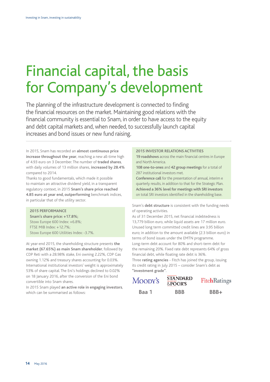### Financial capital, the basis for Company's development

The planning of the infrastructure development is connected to finding the financial resources on the market. Maintaining good relations with the financial community is essential to Snam, in order to have access to the equity and debt capital markets and, when needed, to successfully launch capital increases and bond issues or new fund raising.

In 2015, Snam has recorded an **almost continuous price increase throughout the year**, reaching a new all-time high of 4.93 euro on 3 December. The number of **traded shares**, with daily volumes of 13 million shares, **increased by 28.4%** compared to 2014.

Thanks to good fundamentals, which made it possible to maintain an attractive dividend yield, in a transparent regulatory context, in 2015 **Snam's share price reached 4.85 euro at year end, outperforming** benchmark indices, in particular that of the utility sector.

#### **2015 PERFORMANCE**

**Snam's share price: +17.8%;** Stoxx Europe 600 Index: +6.8%; FTSE MIB Index: +12.7%; Stoxx Europe 600 Utilities Index: -3.7%.

At year-end 2015, the shareholding structure presents **the market (67.65%) as main Snam shareholder**, followed by CDP Reti with a 28.98% stake, Eni owning 2.22%, CDP Gas owning 1.12% and treasury shares accounting for 0.03%. International institutional investors' weight is approximately 53% of share capital. The Eni's holdings declined to 0.02% on 18 January 2016, after the conversion of the Eni bond convertible into Snam shares.

In 2015 Snam played **an active role in engaging investors**, which can be summarised as follows: **Baa 1 BBB BBB+** 

#### **2015 INVESTOR RELATIONS ACTIVITIES**

**19 roadshows** across the main financial centres in Europe and North America.

**108 one-to-ones** and **42 group meetings** for a total of 287 institutional investors met.

**Conference call** for the presentation of annual, interim e quarterly results, in addition to that for the Strategic Plan. **Achieved a 36% level for meetings with SRI investors** on total SRI investors identified in the shareholding base.

Snam's **debt structure** is consistent with the funding needs of operating activities.

As of 31 December 2015, net financial indebtedness is 13,779 billion euro, while liquid assets are 17 million euro. Unused long term committed credit lines are 3.95 billion euro; in addition to the amount available (2.3 billion euro) in terms of bond issues under the EMTN programme. Long-term debt account for 80% and short-term debt for the remaining 20%. Fixed rate debt represents 64% of gross financial debt, while floating rate debt is 36%. Three **rating agencies** - Fitch has joined the group, issuing its credit rating in July 2015 – consider Snam's debt as **"investment grade"**.

Moopy's

**STANDARD FitchRatings** &POOR'S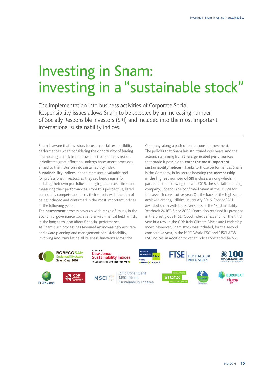## Investing in Snam: investing in a "sustainable stock"

The implementation into business activities of Corporate Social Responsibility issues allows Snam to be selected by an increasing number of Socially Responsible Investors (SRI) and included into the most important international sustainability indices.

Snam is aware that investors focus on social responsibility performances when considering the opportunity of buying and holding a stock in their own portfolio: for this reason, it dedicates great efforts to undergo Assessment processes aimed to the inclusion into sustainability index.

**Sustainability indices** indeed represent a valuable tool for professional investors, as they set benchmarks for building their own portfolios, managing them over time and measuring their performances. From this perspective, listed companies compete and focus their efforts with the aim of being included and confirmed in the most important indices, in the following years.

The **assessment** process covers a wide range of issues, in the economic, governance, social and environmental field, which, in the long term, also affect financial performance. At Snam, such process has favoured an increasingly accurate and aware planning and management of sustainability, involving and stimulating all business functions across the

Company, along a path of continuous improvement. The policies that Snam has structured over years, and the actions stemming from there, generated performances that made it possible to **enter the most important sustainability indices**. Thanks to those performances Snam is the Company, in its sector, boasting **the membership in the highest number of SRI indices**, among which, in particular, the following ones: in 2015, the specialised rating company, RobecoSAM, confirmed Snam in the DJSWI for the seventh consecutive year. On the back of the high score achieved among utilities, in January 2016, RobecoSAM awarded Snam with the Silver Class of the "Sustainability Yearbook 2016". Since 2002, Snam also retained its presence in the prestigious FTSE4Good Index Series, and, for the third year in a row, in the CDP Italy Climate Disclosure Leadership Index. Moreover, Snam stock was included, for the second consecutive year, in the MSCI World ESG and MSCI ACWI ESC indices, in addition to other indices presented below.

**ECPI ITALIA SRI** 

**INDEX SERIES** 

**ROBECOSAM Sustainability Award** Silver Class 2016







**MSCI** 

2015 Constituent **MSCI** Global Sustainability Indexes